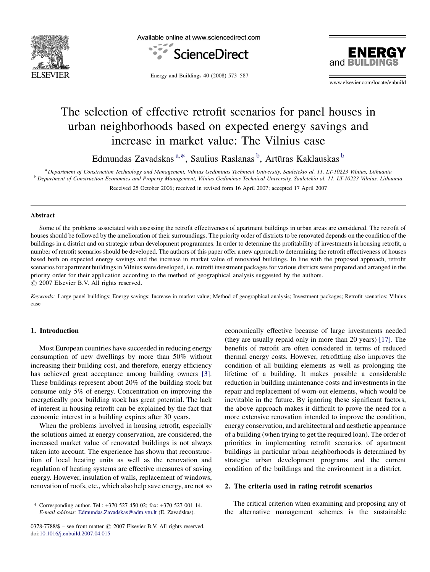

Available online at www.sciencedirect.com





Energy and Buildings 40 (2008) 573–587

www.elsevier.com/locate/enbuild

## The selection of effective retrofit scenarios for panel houses in urban neighborhoods based on expected energy savings and increase in market value: The Vilnius case

Edmundas Zavadskas <sup>a,\*</sup>, Saulius Raslanas <sup>b</sup>, Artūras Kaklauskas <sup>b</sup>

<sup>a</sup> Department of Construction Technology and Management, Vilnius Gediminas Technical University, Sauletekio al. 11, LT-10223 Vilnius, Lithuania <sup>b</sup> Department of Construction Economics and Property Management, Vilnius Gediminas Technical University, Sauletekio al. 11, LT-10223 Vilnius, Lithuania

Received 25 October 2006; received in revised form 16 April 2007; accepted 17 April 2007

#### **Abstract**

Some of the problems associated with assessing the retrofit effectiveness of apartment buildings in urban areas are considered. The retrofit of houses should be followed by the amelioration of their surroundings. The priority order of districts to be renovated depends on the condition of the buildings in a district and on strategic urban development programmes. In order to determine the profitability of investments in housing retrofit, a number of retrofit scenarios should be developed. The authors of this paper offer a new approach to determining the retrofit effectiveness of houses based both on expected energy savings and the increase in market value of renovated buildings. In line with the proposed approach, retrofit scenarios for apartment buildings in Vilnius were developed, i.e. retrofit investment packages for various districts were prepared and arranged in the priority order for their application according to the method of geographical analysis suggested by the authors.  $\odot$  2007 Elsevier B.V. All rights reserved.

Keywords: Large-panel buildings; Energy savings; Increase in market value; Method of geographical analysis; Investment packages; Retrofit scenarios; Vilnius case

### 1. Introduction

Most European countries have succeeded in reducing energy consumption of new dwellings by more than 50% without increasing their building cost, and therefore, energy efficiency has achieved great acceptance among building owners [\[3\]](#page--1-0). These buildings represent about 20% of the building stock but consume only 5% of energy. Concentration on improving the energetically poor building stock has great potential. The lack of interest in housing retrofit can be explained by the fact that economic interest in a building expires after 30 years.

When the problems involved in housing retrofit, especially the solutions aimed at energy conservation, are considered, the increased market value of renovated buildings is not always taken into account. The experience has shown that reconstruction of local heating units as well as the renovation and regulation of heating systems are effective measures of saving energy. However, insulation of walls, replacement of windows, renovation of roofs, etc., which also help save energy, are not so economically effective because of large investments needed (they are usually repaid only in more than 20 years) [\[17\].](#page--1-0) The benefits of retrofit are often considered in terms of reduced thermal energy costs. However, retrofitting also improves the condition of all building elements as well as prolonging the lifetime of a building. It makes possible a considerable reduction in building maintenance costs and investments in the repair and replacement of worn-out elements, which would be inevitable in the future. By ignoring these significant factors, the above approach makes it difficult to prove the need for a more extensive renovation intended to improve the condition, energy conservation, and architectural and aesthetic appearance of a building (when trying to get the required loan). The order of priorities in implementing retrofit scenarios of apartment buildings in particular urban neighborhoods is determined by strategic urban development programs and the current condition of the buildings and the environment in a district.

### 2. The criteria used in rating retrofit scenarios

The critical criterion when examining and proposing any of the alternative management schemes is the sustainable

<sup>\*</sup> Corresponding author. Tel.: +370 527 450 02; fax: +370 527 001 14. E-mail address: [Edmundas.Zavadskas@adm.vtu.lt](mailto:Edmundas.Zavadskas@adm.vtu.lt) (E. Zavadskas).

 $0378-7788/\$  – see front matter  $\odot$  2007 Elsevier B.V. All rights reserved. doi:[10.1016/j.enbuild.2007.04.015](http://dx.doi.org/10.1016/j.enbuild.2007.04.015)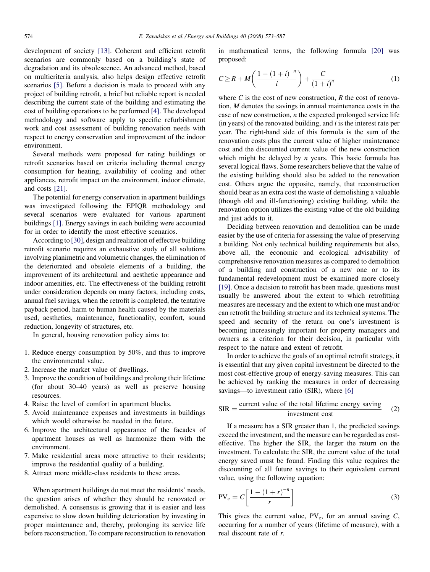development of society [\[13\]](#page--1-0). Coherent and efficient retrofit scenarios are commonly based on a building's state of degradation and its obsolescence. An advanced method, based on multicriteria analysis, also helps design effective retrofit scenarios [\[5\]](#page--1-0). Before a decision is made to proceed with any project of building retrofit, a brief but reliable report is needed describing the current state of the building and estimating the cost of building operations to be performed [\[4\].](#page--1-0) The developed methodology and software apply to specific refurbishment work and cost assessment of building renovation needs with respect to energy conservation and improvement of the indoor environment.

Several methods were proposed for rating buildings or retrofit scenarios based on criteria including thermal energy consumption for heating, availability of cooling and other appliances, retrofit impact on the environment, indoor climate, and costs [\[21\]](#page--1-0).

The potential for energy conservation in apartment buildings was investigated following the EPIQR methodology and several scenarios were evaluated for various apartment buildings [\[1\]](#page--1-0). Energy savings in each building were accounted for in order to identify the most effective scenarios.

According to [\[30\],](#page--1-0) design and realization of effective building retrofit scenario requires an exhaustive study of all solutions involving planimetric and volumetric changes, the elimination of the deteriorated and obsolete elements of a building, the improvement of its architectural and aesthetic appearance and indoor amenities, etc. The effectiveness of the building retrofit under consideration depends on many factors, including costs, annual fuel savings, when the retrofit is completed, the tentative payback period, harm to human health caused by the materials used, aesthetics, maintenance, functionality, comfort, sound reduction, longevity of structures, etc.

In general, housing renovation policy aims to:

- 1. Reduce energy consumption by 50%, and thus to improve the environmental value.
- 2. Increase the market value of dwellings.
- 3. Improve the condition of buildings and prolong their lifetime (for about 30–40 years) as well as preserve housing resources.
- 4. Raise the level of comfort in apartment blocks.
- 5. Avoid maintenance expenses and investments in buildings which would otherwise be needed in the future.
- 6. Improve the architectural appearance of the facades of apartment houses as well as harmonize them with the environment.
- 7. Make residential areas more attractive to their residents; improve the residential quality of a building.
- 8. Attract more middle-class residents to these areas.

When apartment buildings do not meet the residents' needs, the question arises of whether they should be renovated or demolished. A consensus is growing that it is easier and less expensive to slow down building deterioration by investing in proper maintenance and, thereby, prolonging its service life before reconstruction. To compare reconstruction to renovation in mathematical terms, the following formula [\[20\]](#page--1-0) was proposed:

$$
C \ge R + M \left( \frac{1 - (1 + i)^{-n}}{i} \right) + \frac{C}{(1 + i)^{n}}
$$
 (1)

where C is the cost of new construction, R the cost of renovation, M denotes the savings in annual maintenance costs in the case of new construction,  $n$  the expected prolonged service life (in years) of the renovated building, and  $i$  is the interest rate per year. The right-hand side of this formula is the sum of the renovation costs plus the current value of higher maintenance cost and the discounted current value of the new construction which might be delayed by  $n$  years. This basic formula has several logical flaws. Some researchers believe that the value of the existing building should also be added to the renovation cost. Others argue the opposite, namely, that reconstruction should bear as an extra cost the waste of demolishing a valuable (though old and ill-functioning) existing building, while the renovation option utilizes the existing value of the old building and just adds to it.

Deciding between renovation and demolition can be made easier by the use of criteria for assessing the value of preserving a building. Not only technical building requirements but also, above all, the economic and ecological advisability of comprehensive renovation measures as compared to demolition of a building and construction of a new one or to its fundamental redevelopment must be examined more closely [\[19\]](#page--1-0). Once a decision to retrofit has been made, questions must usually be answered about the extent to which retrofitting measures are necessary and the extent to which one must and/or can retrofit the building structure and its technical systems. The speed and security of the return on one's investment is becoming increasingly important for property managers and owners as a criterion for their decision, in particular with respect to the nature and extent of retrofit.

In order to achieve the goals of an optimal retrofit strategy, it is essential that any given capital investment be directed to the most cost-effective group of energy-saving measures. This can be achieved by ranking the measures in order of decreasing savings—to investment ratio (SIR), where [\[6\]](#page--1-0)

$$
SIR = \frac{\text{current value of the total lifetime energy saving}}{\text{investment cost}} \quad (2)
$$

If a measure has a SIR greater than 1, the predicted savings exceed the investment, and the measure can be regarded as costeffective. The higher the SIR, the larger the return on the investment. To calculate the SIR, the current value of the total energy saved must be found. Finding this value requires the discounting of all future savings to their equivalent current value, using the following equation:

$$
PV_c = C \left[ \frac{1 - (1+r)^{-n}}{r} \right]
$$
 (3)

This gives the current value,  $PV_c$ , for an annual saving C, occurring for  $n$  number of years (lifetime of measure), with a real discount rate of r.